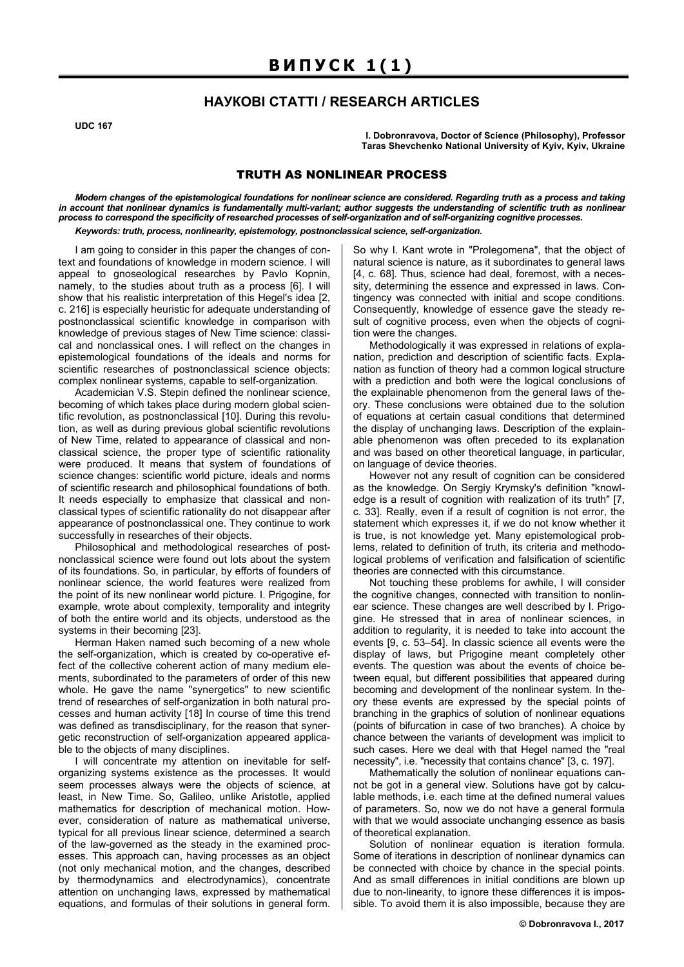## **НАУКОВІ СТАТТІ / RESEARCH ARTICLES**

**UDC 167** 

**I. Dobronravova, Doctor of Science (Philosophy), Professor Taras Shevchenko National University of Kyiv, Kyiv, Ukraine** 

## TRUTH AS NONLINEAR PROCESS

*Modern changes of the epistemological foundations for nonlinear science are considered. Regarding truth as a process and taking in account that nonlinear dynamics is fundamentally multi-variant; author suggests the understanding of scientific truth as nonlinear process to correspond the specificity of researched processes of self-organization and of self-organizing cognitive processes. Keywords: truth, process, nonlinearity, epistemology, postnonclassical science, self-organization.* 

I am going to consider in this paper the changes of context and foundations of knowledge in modern science. I will appeal to gnoseological researches by Pavlo Kopnin, namely, to the studies about truth as a process [6]. I will show that his realistic interpretation of this Hegel's idea [2, c. 216] is especially heuristic for adequate understanding of postnonclassical scientific knowledge in comparison with knowledge of previous stages of New Time science: classical and nonclassical ones. I will reflect on the changes in epistemological foundations of the ideals and norms for scientific researches of postnonclassical science objects: complex nonlinear systems, capable to self-organization.

Academician V.S. Stepin defined the nonlinear science, becoming of which takes place during modern global scientific revolution, as postnonclassical [10]. During this revolution, as well as during previous global scientific revolutions of New Time, related to appearance of classical and nonclassical science, the proper type of scientific rationality were produced. It means that system of foundations of science changes: scientific world picture, ideals and norms of scientific research and philosophical foundations of both. It needs especially to emphasize that classical and nonclassical types of scientific rationality do not disappear after appearance of postnonclassical one. They continue to work successfully in researches of their objects.

Philosophical and methodological researches of postnonclassical science were found out lots about the system of its foundations. So, in particular, by efforts of founders of nonlinear science, the world features were realized from the point of its new nonlinear world picture. I. Prigogine, for example, wrote about complexity, temporality and integrity of both the entire world and its objects, understood as the systems in their becoming [23].

Herman Haken named such becoming of a new whole the self-organization, which is created by co-operative effect of the collective coherent action of many medium elements, subordinated to the parameters of order of this new whole. He gave the name "synergetics" to new scientific trend of researches of self-organization in both natural processes and human activity [18] In course of time this trend was defined as transdisciplinary, for the reason that synergetic reconstruction of self-organization appeared applicable to the objects of many disciplines.

I will concentrate my attention on inevitable for selforganizing systems existence as the processes. It would seem processes always were the objects of science, at least, in New Time. So, Galileo, unlike Aristotle, applied mathematics for description of mechanical motion. However, consideration of nature as mathematical universe, typical for all previous linear science, determined a search of the law-governed as the steady in the examined processes. This approach can, having processes as an object (not only mechanical motion, and the changes, described by thermodynamics and electrodynamics), concentrate attention on unchanging laws, expressed by mathematical equations, and formulas of their solutions in general form.

So why I. Kant wrote in "Prolegomena", that the object of natural science is nature, as it subordinates to general laws [4, c. 68]. Thus, science had deal, foremost, with a necessity, determining the essence and expressed in laws. Contingency was connected with initial and scope conditions. Consequently, knowledge of essence gave the steady result of cognitive process, even when the objects of cognition were the changes.

Methodologically it was expressed in relations of explanation, prediction and description of scientific facts. Explanation as function of theory had a common logical structure with a prediction and both were the logical conclusions of the explainable phenomenon from the general laws of theory. These conclusions were obtained due to the solution of equations at certain casual conditions that determined the display of unchanging laws. Description of the explainable phenomenon was often preceded to its explanation and was based on other theoretical language, in particular, on language of device theories.

However not any result of cognition can be considered as the knowledge. On Sergiy Krymsky's definition "knowledge is a result of cognition with realization of its truth" [7, c. 33]. Really, even if a result of cognition is not error, the statement which expresses it, if we do not know whether it is true, is not knowledge yet. Many epistemological problems, related to definition of truth, its criteria and methodological problems of verification and falsification of scientific theories are connected with this circumstance.

Not touching these problems for awhile, I will consider the cognitive changes, connected with transition to nonlinear science. These changes are well described by I. Prigogine. He stressed that in area of nonlinear sciences, in addition to regularity, it is needed to take into account the events [9, c. 53–54]. In classic science all events were the display of laws, but Prigogine meant completely other events. The question was about the events of choice between equal, but different possibilities that appeared during becoming and development of the nonlinear system. In theory these events are expressed by the special points of branching in the graphics of solution of nonlinear equations (points of bifurcation in case of two branches). A choice by chance between the variants of development was implicit to such cases. Here we deal with that Hegel named the "real necessity", i.e. "necessity that contains chance" [3, c. 197].

Mathematically the solution of nonlinear equations cannot be got in a general view. Solutions have got by calculable methods, i.e. each time at the defined numeral values of parameters. So, now we do not have a general formula with that we would associate unchanging essence as basis of theoretical explanation.

Solution of nonlinear equation is iteration formula. Some of iterations in description of nonlinear dynamics can be connected with choice by chance in the special points. And as small differences in initial conditions are blown up due to non-linearity, to ignore these differences it is impossible. To avoid them it is also impossible, because they are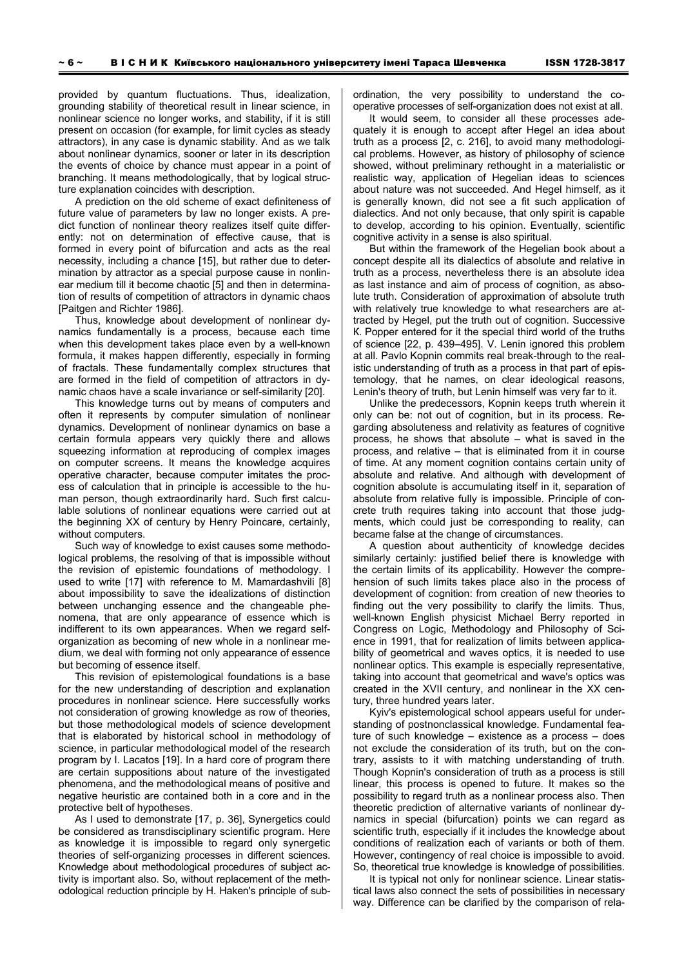provided by quantum fluctuations. Thus, idealization, grounding stability of theoretical result in linear science, in nonlinear science no longer works, and stability, if it is still present on occasion (for example, for limit cycles as steady attractors), in any case is dynamic stability. And as we talk about nonlinear dynamics, sooner or later in its description the events of choice by chance must appear in a point of branching. It means methodologically, that by logical structure explanation coincides with description.

A prediction on the old scheme of exact definiteness of future value of parameters by law no longer exists. A predict function of nonlinear theory realizes itself quite differently: not on determination of effective cause, that is formed in every point of bifurcation and acts as the real necessity, including a chance [15], but rather due to determination by attractor as a special purpose cause in nonlinear medium till it become chaotic [5] and then in determination of results of competition of attractors in dynamic chaos [Paitgen and Richter 1986].

Thus, knowledge about development of nonlinear dynamics fundamentally is a process, because each time when this development takes place even by a well-known formula, it makes happen differently, especially in forming of fractals. These fundamentally complex structures that are formed in the field of competition of attractors in dynamic chaos have a scale invariance or self-similarity [20].

This knowledge turns out by means of computers and often it represents by computer simulation of nonlinear dynamics. Development of nonlinear dynamics on base a certain formula appears very quickly there and allows squeezing information at reproducing of complex images on computer screens. It means the knowledge acquires operative character, because computer imitates the process of calculation that in principle is accessible to the human person, though extraordinarily hard. Such first calculable solutions of nonlinear equations were carried out at the beginning ХХ of century by Henry Poincare, certainly, without computers.

Such way of knowledge to exist causes some methodological problems, the resolving of that is impossible without the revision of epistemic foundations of methodology. I used to write [17] with reference to M. Mamardashvili [8] about impossibility to save the idealizations of distinction between unchanging essence and the changeable phenomena, that are only appearance of essence which is indifferent to its own appearances. When we regard selforganization as becoming of new whole in a nonlinear medium, we deal with forming not only appearance of essence but becoming of essence itself.

This revision of epistemological foundations is a base for the new understanding of description and explanation procedures in nonlinear science. Here successfully works not consideration of growing knowledge as row of theories, but those methodological models of science development that is elaborated by historical school in methodology of science, in particular methodological model of the research program by I. Lacatos [19]. In a hard core of program there are certain suppositions about nature of the investigated phenomena, and the methodological means of positive and negative heuristic are contained both in a core and in the protective belt of hypotheses.

As I used to demonstrate [17, p. 36], Synergetics could be considered as transdisciplinary scientific program. Here as knowledge it is impossible to regard only synergetic theories of self-organizing processes in different sciences. Knowledge about methodological procedures of subject activity is important also. So, without replacement of the methodological reduction principle by H. Haken's principle of subordination, the very possibility to understand the cooperative processes of self-organization does not exist at all.

It would seem, to consider all these processes adequately it is enough to accept after Hegel an idea about truth as a process [2, c. 216], to avoid many methodological problems. However, as history of philosophy of science showed, without preliminary rethought in a materialistic or realistic way, application of Hegelian ideas to sciences about nature was not succeeded. And Hegel himself, as it is generally known, did not see a fit such application of dialectics. And not only because, that only spirit is capable to develop, according to his opinion. Eventually, scientific cognitive activity in a sense is also spiritual.

But within the framework of the Hegelian book about a concept despite all its dialectics of absolute and relative in truth as a process, nevertheless there is an absolute idea as last instance and aim of process of cognition, as absolute truth. Consideration of approximation of absolute truth with relatively true knowledge to what researchers are attracted by Hegel, put the truth out of cognition. Successive К. Popper entered for it the special third world of the truths of science [22, p. 439–495]. V. Lenin ignored this problem at all. Pavlo Kopnin commits real break-through to the realistic understanding of truth as a process in that part of epistemology, that he names, on clear ideological reasons, Lenin's theory of truth, but Lenin himself was very far to it.

Unlike the predecessors, Kopnin keeps truth wherein it only can be: not out of cognition, but in its process. Regarding absoluteness and relativity as features of cognitive process, he shows that absolute – what is saved in the process, and relative – that is eliminated from it in course of time. At any moment cognition contains certain unity of absolute and relative. And although with development of cognition absolute is accumulating itself in it, separation of absolute from relative fully is impossible. Principle of concrete truth requires taking into account that those judgments, which could just be corresponding to reality, can became false at the change of circumstances.

A question about authenticity of knowledge decides similarly certainly: justified belief there is knowledge with the certain limits of its applicability. However the comprehension of such limits takes place also in the process of development of cognition: from creation of new theories to finding out the very possibility to clarify the limits. Thus, well-known English physicist Michael Berry reported in Congress on Logic, Methodology and Philosophy of Science in 1991, that for realization of limits between applicability of geometrical and waves optics, it is needed to use nonlinear optics. This example is especially representative, taking into account that geometrical and wave's optics was created in the XVII century, and nonlinear in the XX century, three hundred years later.

Kyiv's epistemological school appears useful for understanding of postnonclassical knowledge. Fundamental feature of such knowledge – existence as a process – does not exclude the consideration of its truth, but on the contrary, assists to it with matching understanding of truth. Though Kopnin's consideration of truth as a process is still linear, this process is opened to future. It makes so the possibility to regard truth as a nonlinear process also. Then theoretic prediction of alternative variants of nonlinear dynamics in special (bifurcation) points we can regard as scientific truth, especially if it includes the knowledge about conditions of realization each of variants or both of them. However, contingency of real choice is impossible to avoid. So, theoretical true knowledge is knowledge of possibilities.

It is typical not only for nonlinear science. Linear statistical laws also connect the sets of possibilities in necessary way. Difference can be clarified by the comparison of rela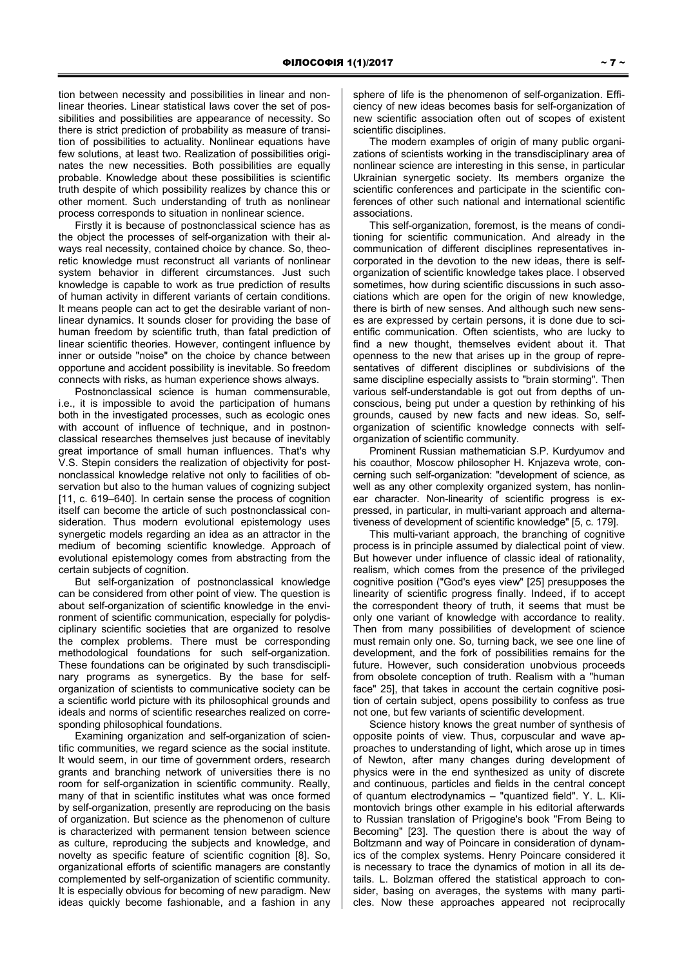tion between necessity and possibilities in linear and nonlinear theories. Linear statistical laws cover the set of possibilities and possibilities are appearance of necessity. So there is strict prediction of probability as measure of transition of possibilities to actuality. Nonlinear equations have few solutions, at least two. Realization of possibilities originates the new necessities. Both possibilities are equally probable. Knowledge about these possibilities is scientific truth despite of which possibility realizes by chance this or other moment. Such understanding of truth as nonlinear process corresponds to situation in nonlinear science.

Firstly it is because of postnonclassical science has as the object the processes of self-organization with their always real necessity, contained choice by chance. So, theoretic knowledge must reconstruct all variants of nonlinear system behavior in different circumstances. Just such knowledge is capable to work as true prediction of results of human activity in different variants of certain conditions. It means people can act to get the desirable variant of nonlinear dynamics. It sounds closer for providing the base of human freedom by scientific truth, than fatal prediction of linear scientific theories. However, contingent influence by inner or outside "noise" on the choice by chance between opportune and accident possibility is inevitable. So freedom connects with risks, as human experience shows always.

Postnonclassical science is human commensurable, i.e., it is impossible to avoid the participation of humans both in the investigated processes, such as ecologic ones with account of influence of technique, and in postnonclassical researches themselves just because of inevitably great importance of small human influences. That's why V.S. Stepin considers the realization of objectivity for postnonclassical knowledge relative not only to facilities of observation but also to the human values of cognizing subject [11, c. 619–640]. In certain sense the process of cognition itself can become the article of such postnonclassical consideration. Thus modern evolutional epistemology uses synergetic models regarding an idea as an attractor in the medium of becoming scientific knowledge. Approach of evolutional epistemology comes from abstracting from the certain subjects of cognition.

But self-organization of postnonclassical knowledge can be considered from other point of view. The question is about self-organization of scientific knowledge in the environment of scientific communication, especially for polydisciplinary scientific societies that are organized to resolve the complex problems. There must be corresponding methodological foundations for such self-organization. These foundations can be originated by such transdisciplinary programs as synergetics. By the base for selforganization of scientists to communicative society can be a scientific world picture with its philosophical grounds and ideals and norms of scientific researches realized on corresponding philosophical foundations.

Examining organization and self-organization of scientific communities, we regard science as the social institute. It would seem, in our time of government orders, research grants and branching network of universities there is no room for self-organization in scientific community. Really, many of that in scientific institutes what was once formed by self-organization, presently are reproducing on the basis of organization. But science as the phenomenon of culture is characterized with permanent tension between science as culture, reproducing the subjects and knowledge, and novelty as specific feature of scientific cognition [8]. So, organizational efforts of scientific managers are constantly complemented by self-organization of scientific community. It is especially obvious for becoming of new paradigm. New ideas quickly become fashionable, and a fashion in any

sphere of life is the phenomenon of self-organization. Efficiency of new ideas becomes basis for self-organization of new scientific association often out of scopes of existent scientific disciplines.

The modern examples of origin of many public organizations of scientists working in the transdisciplinary area of nonlinear science are interesting in this sense, in particular Ukrainian synergetic society. Its members organize the scientific conferences and participate in the scientific conferences of other such national and international scientific associations.

This self-organization, foremost, is the means of conditioning for scientific communication. And already in the communication of different disciplines representatives incorporated in the devotion to the new ideas, there is selforganization of scientific knowledge takes place. I observed sometimes, how during scientific discussions in such associations which are open for the origin of new knowledge, there is birth of new senses. And although such new senses are expressed by certain persons, it is done due to scientific communication. Often scientists, who are lucky to find a new thought, themselves evident about it. That openness to the new that arises up in the group of representatives of different disciplines or subdivisions of the same discipline especially assists to "brain storming". Then various self-understandable is got out from depths of unconscious, being put under a question by rethinking of his grounds, caused by new facts and new ideas. So, selforganization of scientific knowledge connects with selforganization of scientific community.

Prominent Russian mathematician S.P. Kurdyumov and his coauthor, Moscow philosopher H. Knjazeva wrote, concerning such self-organization: "development of science, as well as any other complexity organized system, has nonlinear character. Non-linearity of scientific progress is expressed, in particular, in multi-variant approach and alternativeness of development of scientific knowledge" [5, c. 179].

This multi-variant approach, the branching of cognitive process is in principle assumed by dialectical point of view. But however under influence of classic ideal of rationality, realism, which comes from the presence of the privileged cognitive position ("God's eyes view" [25] presupposes the linearity of scientific progress finally. Indeed, if to accept the correspondent theory of truth, it seems that must be only one variant of knowledge with accordance to reality. Then from many possibilities of development of science must remain only one. So, turning back, we see one line of development, and the fork of possibilities remains for the future. However, such consideration unobvious proceeds from obsolete conception of truth. Realism with a "human face" 25], that takes in account the certain cognitive position of certain subject, opens possibility to confess as true not one, but few variants of scientific development.

Science history knows the great number of synthesis of opposite points of view. Thus, corpuscular and wave approaches to understanding of light, which arose up in times of Newton, after many changes during development of physics were in the end synthesized as unity of discrete and continuous, particles and fields in the central concept of quantum electrodynamics – "quantized field". Y. L. Klimontovich brings other example in his editorial afterwards to Russian translation of Prigogine's book "From Being to Becoming" [23]. The question there is about the way of Boltzmann and way of Poincare in consideration of dynamics of the complex systems. Henry Poincare considered it is necessary to trace the dynamics of motion in all its details. L. Bolzman offered the statistical approach to consider, basing on averages, the systems with many particles. Now these approaches appeared not reciprocally